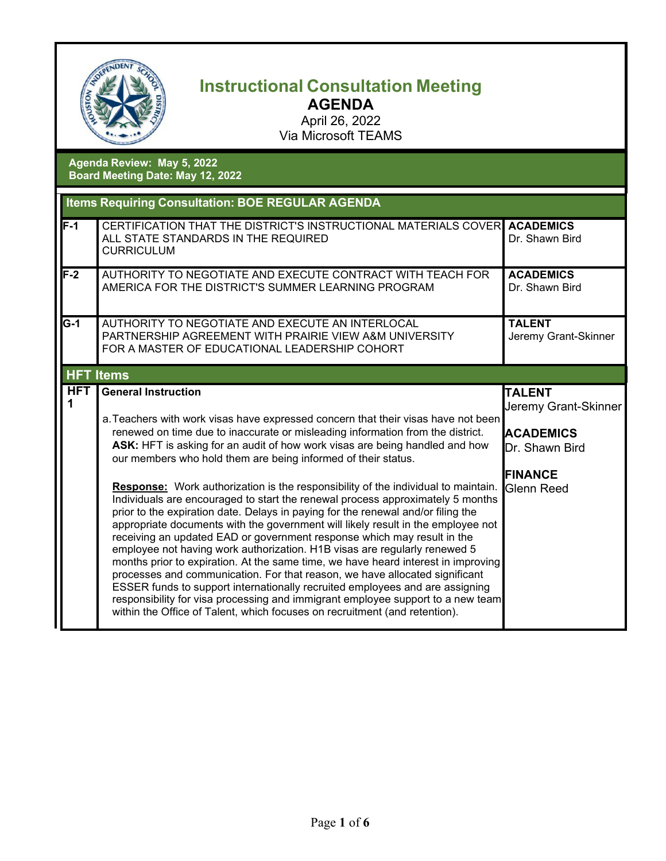

## **Instructional Consultation Meeting AGENDA**

April 26, 2022 Via Microsoft TEAMS

**Agenda Review: May 5, 2022 Board Meeting Date: May 12, 2022**

| <b>Items Requiring Consultation: BOE REGULAR AGENDA</b> |                                                                                                                                                                                                                                                                                                                                                                                                                                                                                                                                                                                                                                                                                                                                                                                                                                                                                                                                                                                                                                                                                                                                                                                                                                                                               |                                                                                                                           |  |
|---------------------------------------------------------|-------------------------------------------------------------------------------------------------------------------------------------------------------------------------------------------------------------------------------------------------------------------------------------------------------------------------------------------------------------------------------------------------------------------------------------------------------------------------------------------------------------------------------------------------------------------------------------------------------------------------------------------------------------------------------------------------------------------------------------------------------------------------------------------------------------------------------------------------------------------------------------------------------------------------------------------------------------------------------------------------------------------------------------------------------------------------------------------------------------------------------------------------------------------------------------------------------------------------------------------------------------------------------|---------------------------------------------------------------------------------------------------------------------------|--|
| $F-1$                                                   | CERTIFICATION THAT THE DISTRICT'S INSTRUCTIONAL MATERIALS COVER ACADEMICS<br>ALL STATE STANDARDS IN THE REQUIRED<br><b>CURRICULUM</b>                                                                                                                                                                                                                                                                                                                                                                                                                                                                                                                                                                                                                                                                                                                                                                                                                                                                                                                                                                                                                                                                                                                                         | Dr. Shawn Bird                                                                                                            |  |
| $F-2$                                                   | AUTHORITY TO NEGOTIATE AND EXECUTE CONTRACT WITH TEACH FOR<br>AMERICA FOR THE DISTRICT'S SUMMER LEARNING PROGRAM                                                                                                                                                                                                                                                                                                                                                                                                                                                                                                                                                                                                                                                                                                                                                                                                                                                                                                                                                                                                                                                                                                                                                              | <b>ACADEMICS</b><br>Dr. Shawn Bird                                                                                        |  |
| $\overline{G-1}$                                        | AUTHORITY TO NEGOTIATE AND EXECUTE AN INTERLOCAL<br>PARTNERSHIP AGREEMENT WITH PRAIRIE VIEW A&M UNIVERSITY<br>FOR A MASTER OF EDUCATIONAL LEADERSHIP COHORT                                                                                                                                                                                                                                                                                                                                                                                                                                                                                                                                                                                                                                                                                                                                                                                                                                                                                                                                                                                                                                                                                                                   | <b>TALENT</b><br>Jeremy Grant-Skinner                                                                                     |  |
|                                                         | <b>HFT Items</b>                                                                                                                                                                                                                                                                                                                                                                                                                                                                                                                                                                                                                                                                                                                                                                                                                                                                                                                                                                                                                                                                                                                                                                                                                                                              |                                                                                                                           |  |
| <b>HFT</b><br>1                                         | <b>General Instruction</b><br>a. Teachers with work visas have expressed concern that their visas have not been<br>renewed on time due to inaccurate or misleading information from the district.<br>ASK: HFT is asking for an audit of how work visas are being handled and how<br>our members who hold them are being informed of their status.<br>Response: Work authorization is the responsibility of the individual to maintain.<br>Individuals are encouraged to start the renewal process approximately 5 months<br>prior to the expiration date. Delays in paying for the renewal and/or filing the<br>appropriate documents with the government will likely result in the employee not<br>receiving an updated EAD or government response which may result in the<br>employee not having work authorization. H1B visas are regularly renewed 5<br>months prior to expiration. At the same time, we have heard interest in improving<br>processes and communication. For that reason, we have allocated significant<br>ESSER funds to support internationally recruited employees and are assigning<br>responsibility for visa processing and immigrant employee support to a new team<br>within the Office of Talent, which focuses on recruitment (and retention). | <b>TALENT</b><br><b>Jeremy Grant-Skinner</b><br><b>ACADEMICS</b><br>Dr. Shawn Bird<br><b>FINANCE</b><br><b>Glenn Reed</b> |  |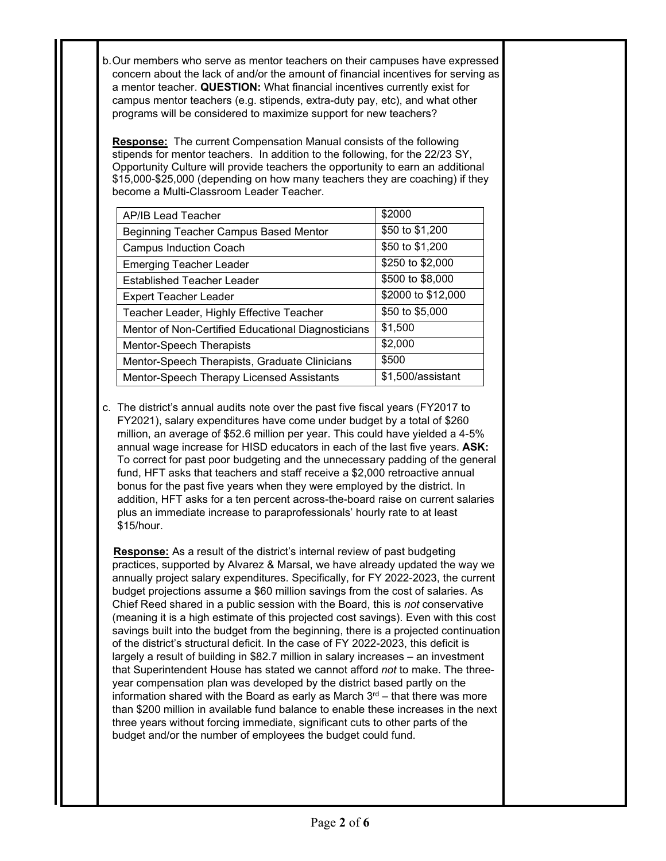b.Our members who serve as mentor teachers on their campuses have expressed concern about the lack of and/or the amount of financial incentives for serving as a mentor teacher. **QUESTION:** What financial incentives currently exist for campus mentor teachers (e.g. stipends, extra-duty pay, etc), and what other programs will be considered to maximize support for new teachers?

**Response:** The current Compensation Manual consists of the following stipends for mentor teachers. In addition to the following, for the 22/23 SY, Opportunity Culture will provide teachers the opportunity to earn an additional \$15,000-\$25,000 (depending on how many teachers they are coaching) if they become a Multi-Classroom Leader Teacher.

| AP/IB Lead Teacher                                 | \$2000             |
|----------------------------------------------------|--------------------|
| Beginning Teacher Campus Based Mentor              | \$50 to \$1,200    |
| <b>Campus Induction Coach</b>                      | \$50 to \$1,200    |
| <b>Emerging Teacher Leader</b>                     | \$250 to \$2,000   |
| <b>Established Teacher Leader</b>                  | \$500 to \$8,000   |
| <b>Expert Teacher Leader</b>                       | \$2000 to \$12,000 |
| Teacher Leader, Highly Effective Teacher           | \$50 to \$5,000    |
| Mentor of Non-Certified Educational Diagnosticians | \$1,500            |
| <b>Mentor-Speech Therapists</b>                    | \$2,000            |
| Mentor-Speech Therapists, Graduate Clinicians      | \$500              |
| Mentor-Speech Therapy Licensed Assistants          | \$1,500/assistant  |

c. The district's annual audits note over the past five fiscal years (FY2017 to FY2021), salary expenditures have come under budget by a total of \$260 million, an average of \$52.6 million per year. This could have yielded a 4-5% annual wage increase for HISD educators in each of the last five years. **ASK:** To correct for past poor budgeting and the unnecessary padding of the general fund, HFT asks that teachers and staff receive a \$2,000 retroactive annual bonus for the past five years when they were employed by the district. In addition, HFT asks for a ten percent across-the-board raise on current salaries plus an immediate increase to paraprofessionals' hourly rate to at least \$15/hour.

 **Response:** As a result of the district's internal review of past budgeting practices, supported by Alvarez & Marsal, we have already updated the way we annually project salary expenditures. Specifically, for FY 2022-2023, the current budget projections assume a \$60 million savings from the cost of salaries. As Chief Reed shared in a public session with the Board, this is *not* conservative (meaning it is a high estimate of this projected cost savings). Even with this cost savings built into the budget from the beginning, there is a projected continuation of the district's structural deficit. In the case of FY 2022-2023, this deficit is largely a result of building in \$82.7 million in salary increases – an investment that Superintendent House has stated we cannot afford *not* to make. The threeyear compensation plan was developed by the district based partly on the information shared with the Board as early as March  $3<sup>rd</sup>$  – that there was more than \$200 million in available fund balance to enable these increases in the next three years without forcing immediate, significant cuts to other parts of the budget and/or the number of employees the budget could fund.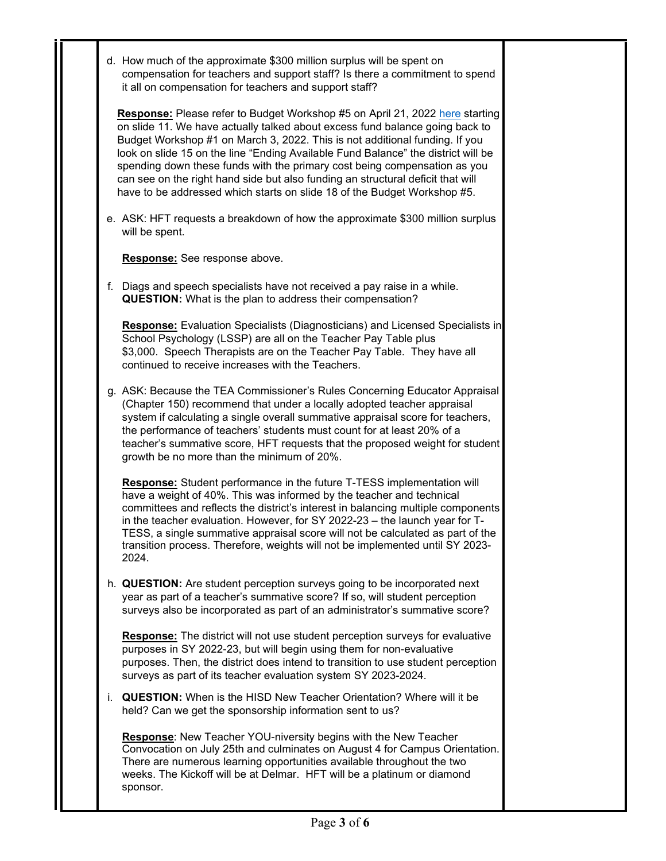|    | d. How much of the approximate \$300 million surplus will be spent on<br>compensation for teachers and support staff? Is there a commitment to spend<br>it all on compensation for teachers and support staff?                                                                                                                                                                                                                                                                                                                                                               |
|----|------------------------------------------------------------------------------------------------------------------------------------------------------------------------------------------------------------------------------------------------------------------------------------------------------------------------------------------------------------------------------------------------------------------------------------------------------------------------------------------------------------------------------------------------------------------------------|
|    | Response: Please refer to Budget Workshop #5 on April 21, 2022 here starting<br>on slide 11. We have actually talked about excess fund balance going back to<br>Budget Workshop #1 on March 3, 2022. This is not additional funding. If you<br>look on slide 15 on the line "Ending Available Fund Balance" the district will be<br>spending down these funds with the primary cost being compensation as you<br>can see on the right hand side but also funding an structural deficit that will<br>have to be addressed which starts on slide 18 of the Budget Workshop #5. |
|    | e. ASK: HFT requests a breakdown of how the approximate \$300 million surplus<br>will be spent.                                                                                                                                                                                                                                                                                                                                                                                                                                                                              |
|    | Response: See response above.                                                                                                                                                                                                                                                                                                                                                                                                                                                                                                                                                |
|    | f. Diags and speech specialists have not received a pay raise in a while.<br><b>QUESTION:</b> What is the plan to address their compensation?                                                                                                                                                                                                                                                                                                                                                                                                                                |
|    | <b>Response:</b> Evaluation Specialists (Diagnosticians) and Licensed Specialists in<br>School Psychology (LSSP) are all on the Teacher Pay Table plus<br>\$3,000. Speech Therapists are on the Teacher Pay Table. They have all<br>continued to receive increases with the Teachers.                                                                                                                                                                                                                                                                                        |
|    | g. ASK: Because the TEA Commissioner's Rules Concerning Educator Appraisal<br>(Chapter 150) recommend that under a locally adopted teacher appraisal<br>system if calculating a single overall summative appraisal score for teachers,<br>the performance of teachers' students must count for at least 20% of a<br>teacher's summative score, HFT requests that the proposed weight for student<br>growth be no more than the minimum of 20%.                                                                                                                               |
|    | Response: Student performance in the future T-TESS implementation will<br>have a weight of 40%. This was informed by the teacher and technical<br>committees and reflects the district's interest in balancing multiple components<br>in the teacher evaluation. However, for SY 2022-23 - the launch year for T-<br>TESS, a single summative appraisal score will not be calculated as part of the<br>transition process. Therefore, weights will not be implemented until SY 2023-<br>2024.                                                                                |
|    | h. QUESTION: Are student perception surveys going to be incorporated next<br>year as part of a teacher's summative score? If so, will student perception<br>surveys also be incorporated as part of an administrator's summative score?                                                                                                                                                                                                                                                                                                                                      |
|    | <b>Response:</b> The district will not use student perception surveys for evaluative<br>purposes in SY 2022-23, but will begin using them for non-evaluative<br>purposes. Then, the district does intend to transition to use student perception<br>surveys as part of its teacher evaluation system SY 2023-2024.                                                                                                                                                                                                                                                           |
| Ĺ. | <b>QUESTION:</b> When is the HISD New Teacher Orientation? Where will it be<br>held? Can we get the sponsorship information sent to us?                                                                                                                                                                                                                                                                                                                                                                                                                                      |
|    | Response: New Teacher YOU-niversity begins with the New Teacher<br>Convocation on July 25th and culminates on August 4 for Campus Orientation.<br>There are numerous learning opportunities available throughout the two<br>weeks. The Kickoff will be at Delmar. HFT will be a platinum or diamond<br>sponsor.                                                                                                                                                                                                                                                              |
|    |                                                                                                                                                                                                                                                                                                                                                                                                                                                                                                                                                                              |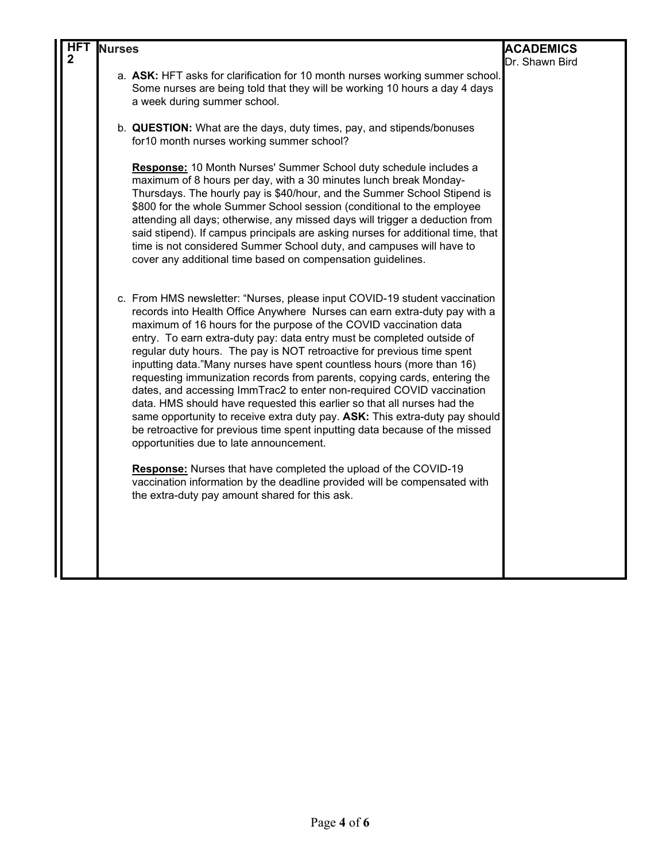|   | <b>Nurses</b> |                                                                                                                                                                                                                                                                                                                                                                                                                                                                                                                                                                                                                                                                                                                                                                                                                                                                                                                                                                                                                                                                                                              | <b>ACADEMICS</b> |
|---|---------------|--------------------------------------------------------------------------------------------------------------------------------------------------------------------------------------------------------------------------------------------------------------------------------------------------------------------------------------------------------------------------------------------------------------------------------------------------------------------------------------------------------------------------------------------------------------------------------------------------------------------------------------------------------------------------------------------------------------------------------------------------------------------------------------------------------------------------------------------------------------------------------------------------------------------------------------------------------------------------------------------------------------------------------------------------------------------------------------------------------------|------------------|
| 2 |               |                                                                                                                                                                                                                                                                                                                                                                                                                                                                                                                                                                                                                                                                                                                                                                                                                                                                                                                                                                                                                                                                                                              | Dr. Shawn Bird   |
|   |               | a. ASK: HFT asks for clarification for 10 month nurses working summer school.<br>Some nurses are being told that they will be working 10 hours a day 4 days<br>a week during summer school.                                                                                                                                                                                                                                                                                                                                                                                                                                                                                                                                                                                                                                                                                                                                                                                                                                                                                                                  |                  |
|   |               | b. QUESTION: What are the days, duty times, pay, and stipends/bonuses<br>for 10 month nurses working summer school?                                                                                                                                                                                                                                                                                                                                                                                                                                                                                                                                                                                                                                                                                                                                                                                                                                                                                                                                                                                          |                  |
|   |               | Response: 10 Month Nurses' Summer School duty schedule includes a<br>maximum of 8 hours per day, with a 30 minutes lunch break Monday-<br>Thursdays. The hourly pay is \$40/hour, and the Summer School Stipend is<br>\$800 for the whole Summer School session (conditional to the employee<br>attending all days; otherwise, any missed days will trigger a deduction from<br>said stipend). If campus principals are asking nurses for additional time, that<br>time is not considered Summer School duty, and campuses will have to<br>cover any additional time based on compensation guidelines.                                                                                                                                                                                                                                                                                                                                                                                                                                                                                                       |                  |
|   |               | c. From HMS newsletter: "Nurses, please input COVID-19 student vaccination<br>records into Health Office Anywhere Nurses can earn extra-duty pay with a<br>maximum of 16 hours for the purpose of the COVID vaccination data<br>entry. To earn extra-duty pay: data entry must be completed outside of<br>regular duty hours. The pay is NOT retroactive for previous time spent<br>inputting data."Many nurses have spent countless hours (more than 16)<br>requesting immunization records from parents, copying cards, entering the<br>dates, and accessing ImmTrac2 to enter non-required COVID vaccination<br>data. HMS should have requested this earlier so that all nurses had the<br>same opportunity to receive extra duty pay. ASK: This extra-duty pay should<br>be retroactive for previous time spent inputting data because of the missed<br>opportunities due to late announcement.<br><b>Response:</b> Nurses that have completed the upload of the COVID-19<br>vaccination information by the deadline provided will be compensated with<br>the extra-duty pay amount shared for this ask. |                  |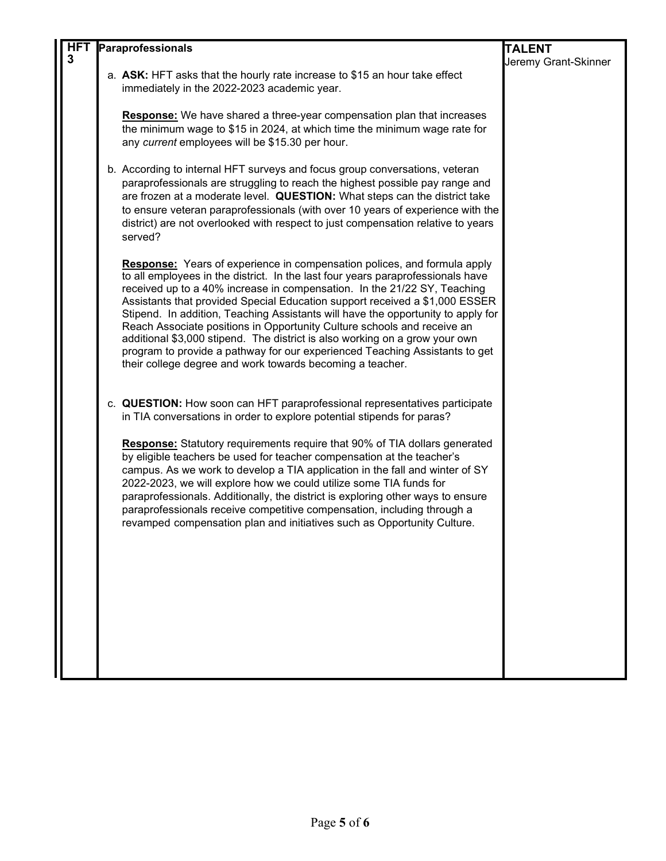| <b>HFT</b> |                                                                                                                                                                                                                                                                                                                                                                                                                                                                                                                                                                                                                                                                                                                         | <b>TALENT</b>                                                                                   |
|------------|-------------------------------------------------------------------------------------------------------------------------------------------------------------------------------------------------------------------------------------------------------------------------------------------------------------------------------------------------------------------------------------------------------------------------------------------------------------------------------------------------------------------------------------------------------------------------------------------------------------------------------------------------------------------------------------------------------------------------|-------------------------------------------------------------------------------------------------|
| 3          |                                                                                                                                                                                                                                                                                                                                                                                                                                                                                                                                                                                                                                                                                                                         | Jeremy Grant-Skinner                                                                            |
|            | immediately in the 2022-2023 academic year.                                                                                                                                                                                                                                                                                                                                                                                                                                                                                                                                                                                                                                                                             |                                                                                                 |
|            | <b>Response:</b> We have shared a three-year compensation plan that increases<br>the minimum wage to \$15 in 2024, at which time the minimum wage rate for<br>any current employees will be \$15.30 per hour.                                                                                                                                                                                                                                                                                                                                                                                                                                                                                                           |                                                                                                 |
|            | b. According to internal HFT surveys and focus group conversations, veteran<br>paraprofessionals are struggling to reach the highest possible pay range and<br>are frozen at a moderate level. QUESTION: What steps can the district take<br>to ensure veteran paraprofessionals (with over 10 years of experience with the<br>district) are not overlooked with respect to just compensation relative to years<br>served?                                                                                                                                                                                                                                                                                              |                                                                                                 |
|            | <b>Response:</b> Years of experience in compensation polices, and formula apply<br>to all employees in the district. In the last four years paraprofessionals have<br>received up to a 40% increase in compensation. In the 21/22 SY, Teaching<br>Assistants that provided Special Education support received a \$1,000 ESSER<br>Stipend. In addition, Teaching Assistants will have the opportunity to apply for<br>Reach Associate positions in Opportunity Culture schools and receive an<br>additional \$3,000 stipend. The district is also working on a grow your own<br>program to provide a pathway for our experienced Teaching Assistants to get<br>their college degree and work towards becoming a teacher. |                                                                                                 |
|            | c. QUESTION: How soon can HFT paraprofessional representatives participate<br>in TIA conversations in order to explore potential stipends for paras?                                                                                                                                                                                                                                                                                                                                                                                                                                                                                                                                                                    |                                                                                                 |
|            | <b>Response:</b> Statutory requirements require that 90% of TIA dollars generated<br>by eligible teachers be used for teacher compensation at the teacher's<br>campus. As we work to develop a TIA application in the fall and winter of SY<br>2022-2023, we will explore how we could utilize some TIA funds for<br>paraprofessionals. Additionally, the district is exploring other ways to ensure<br>paraprofessionals receive competitive compensation, including through a<br>revamped compensation plan and initiatives such as Opportunity Culture.                                                                                                                                                              |                                                                                                 |
|            |                                                                                                                                                                                                                                                                                                                                                                                                                                                                                                                                                                                                                                                                                                                         |                                                                                                 |
|            |                                                                                                                                                                                                                                                                                                                                                                                                                                                                                                                                                                                                                                                                                                                         | Paraprofessionals<br>a. ASK: HFT asks that the hourly rate increase to \$15 an hour take effect |